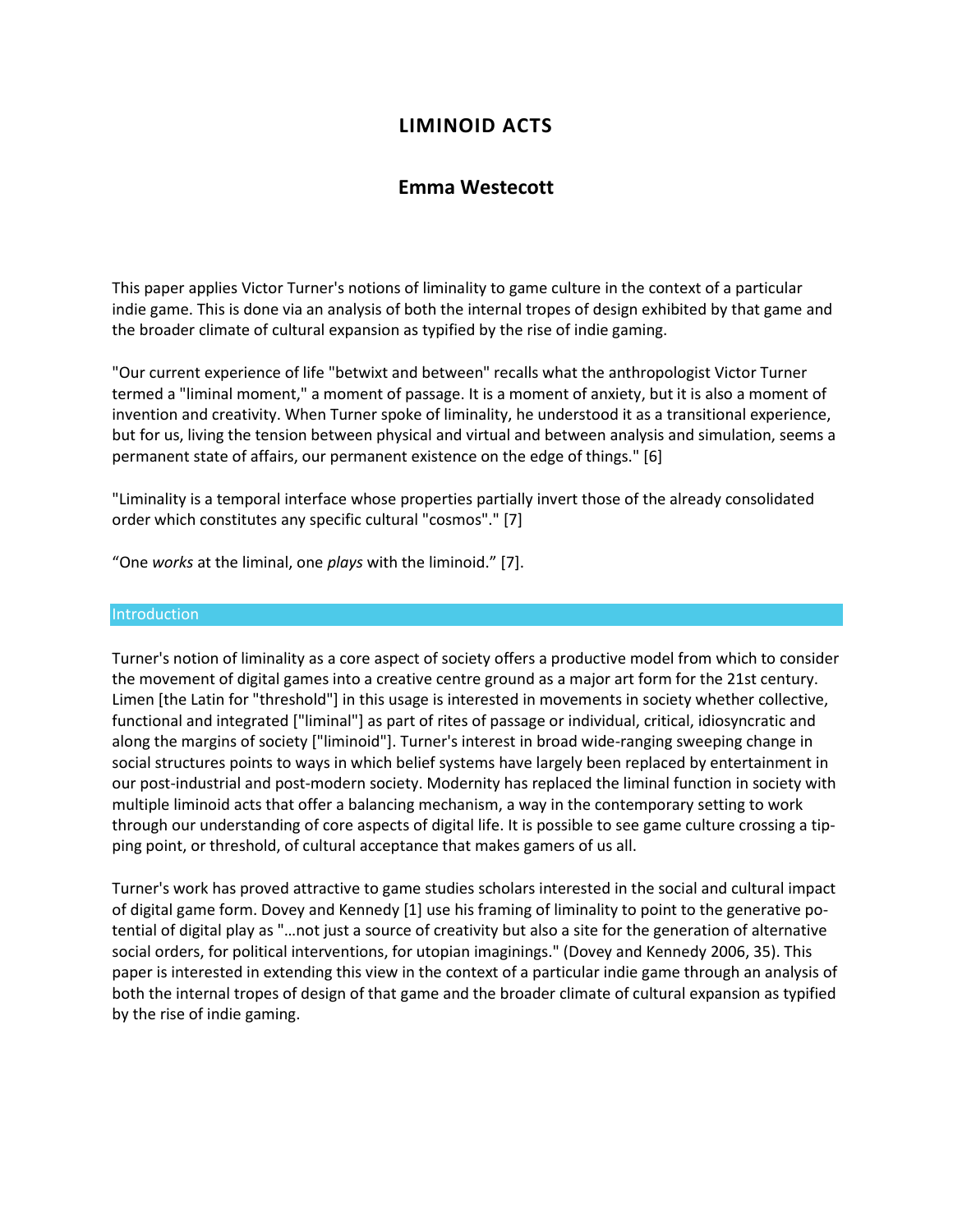# **LIMINOID ACTS**

# **Emma Westecott**

This paper applies Victor Turner's notions of liminality to game culture in the context of a particular indie game. This is done via an analysis of both the internal tropes of design exhibited by that game and the broader climate of cultural expansion as typified by the rise of indie gaming.

"Our current experience of life "betwixt and between" recalls what the anthropologist Victor Turner termed a "liminal moment," a moment of passage. It is a moment of anxiety, but it is also a moment of invention and creativity. When Turner spoke of liminality, he understood it as a transitional experience, but for us, living the tension between physical and virtual and between analysis and simulation, seems a permanent state of affairs, our permanent existence on the edge of things." [6]

"Liminality is a temporal interface whose properties partially invert those of the already consolidated order which constitutes any specific cultural "cosmos"." [7]

"One *works* at the liminal, one *plays* with the liminoid." [7].

### Introduction

Turner's notion of liminality as a core aspect of society offers a productive model from which to consider the movement of digital games into a creative centre ground as a major art form for the 21st century. Limen [the Latin for "threshold"] in this usage is interested in movements in society whether collective, functional and integrated ["liminal"] as part of rites of passage or individual, critical, idiosyncratic and along the margins of society ["liminoid"]. Turner's interest in broad wide-ranging sweeping change in social structures points to ways in which belief systems have largely been replaced by entertainment in our post-industrial and post-modern society. Modernity has replaced the liminal function in society with multiple liminoid acts that offer a balancing mechanism, a way in the contemporary setting to work through our understanding of core aspects of digital life. It is possible to see game culture crossing a tipping point, or threshold, of cultural acceptance that makes gamers of us all.

Turner's work has proved attractive to game studies scholars interested in the social and cultural impact of digital game form. Dovey and Kennedy [1] use his framing of liminality to point to the generative potential of digital play as "…not just a source of creativity but also a site for the generation of alternative social orders, for political interventions, for utopian imaginings." (Dovey and Kennedy 2006, 35). This paper is interested in extending this view in the context of a particular indie game through an analysis of both the internal tropes of design of that game and the broader climate of cultural expansion as typified by the rise of indie gaming.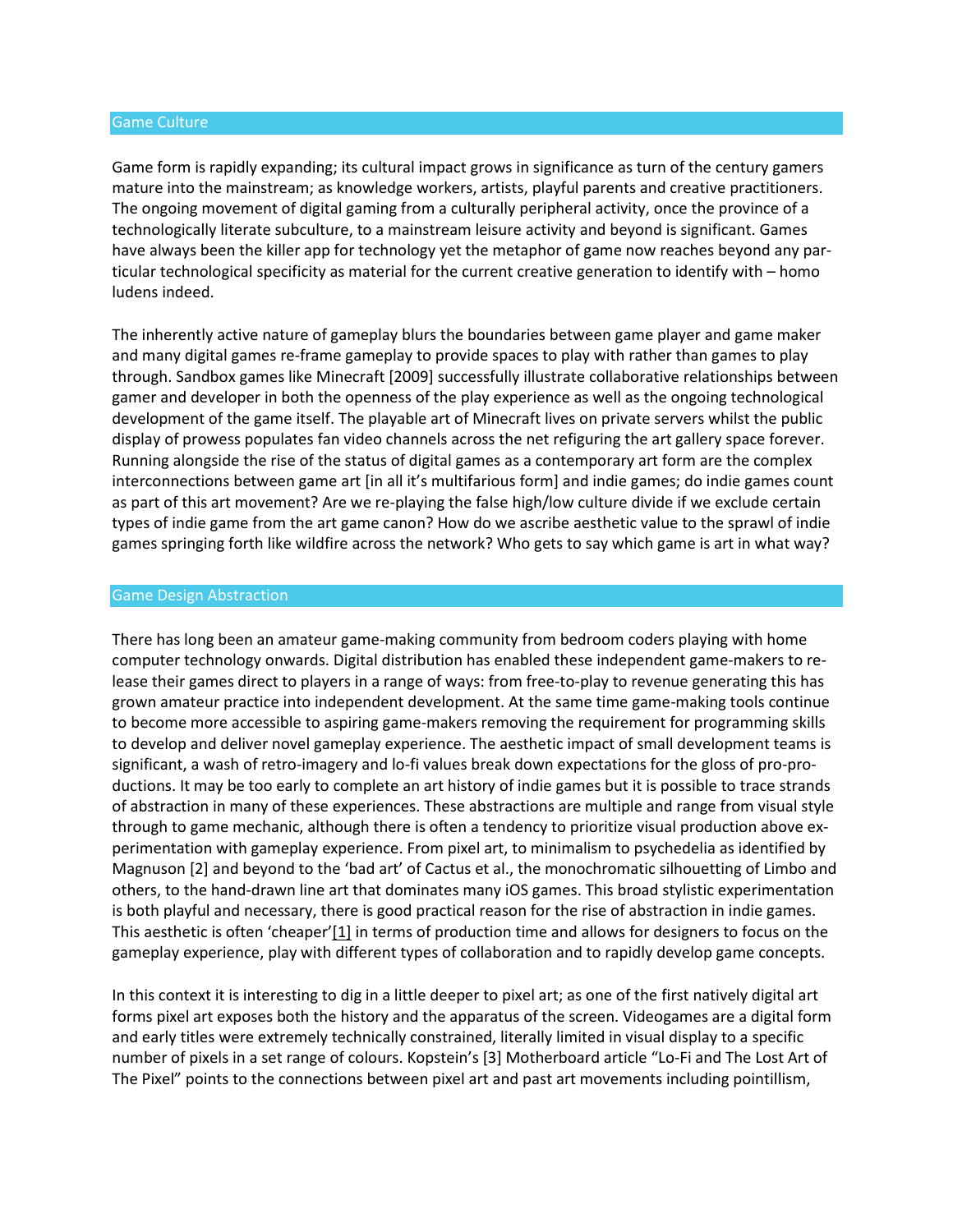#### Game Culture

Game form is rapidly expanding; its cultural impact grows in significance as turn of the century gamers mature into the mainstream; as knowledge workers, artists, playful parents and creative practitioners. The ongoing movement of digital gaming from a culturally peripheral activity, once the province of a technologically literate subculture, to a mainstream leisure activity and beyond is significant. Games have always been the killer app for technology yet the metaphor of game now reaches beyond any particular technological specificity as material for the current creative generation to identify with – homo ludens indeed.

The inherently active nature of gameplay blurs the boundaries between game player and game maker and many digital games re-frame gameplay to provide spaces to play with rather than games to play through. Sandbox games like Minecraft [2009] successfully illustrate collaborative relationships between gamer and developer in both the openness of the play experience as well as the ongoing technological development of the game itself. The playable art of Minecraft lives on private servers whilst the public display of prowess populates fan video channels across the net refiguring the art gallery space forever. Running alongside the rise of the status of digital games as a contemporary art form are the complex interconnections between game art [in all it's multifarious form] and indie games; do indie games count as part of this art movement? Are we re-playing the false high/low culture divide if we exclude certain types of indie game from the art game canon? How do we ascribe aesthetic value to the sprawl of indie games springing forth like wildfire across the network? Who gets to say which game is art in what way?

#### Game Design Abstraction

There has long been an amateur game-making community from bedroom coders playing with home computer technology onwards. Digital distribution has enabled these independent game-makers to release their games direct to players in a range of ways: from free-to-play to revenue generating this has grown amateur practice into independent development. At the same time game-making tools continue to become more accessible to aspiring game-makers removing the requirement for programming skills to develop and deliver novel gameplay experience. The aesthetic impact of small development teams is significant, a wash of retro-imagery and lo-fi values break down expectations for the gloss of pro-productions. It may be too early to complete an art history of indie games but it is possible to trace strands of abstraction in many of these experiences. These abstractions are multiple and range from visual style through to game mechanic, although there is often a tendency to prioritize visual production above experimentation with gameplay experience. From pixel art, to minimalism to psychedelia as identified by Magnuson [2] and beyond to the 'bad art' of Cactus et al., the monochromatic silhouetting of Limbo and others, to the hand-drawn line art that dominates many iOS games. This broad stylistic experimentation is both playful and necessary, there is good practical reason for the rise of abstraction in indie games. This aesthetic is often 'cheaper'[\[1\]](http://isea2011.sabanciuniv.edu/paper/liminoid-acts.html#_ftn1) in terms of production time and allows for designers to focus on the gameplay experience, play with different types of collaboration and to rapidly develop game concepts.

In this context it is interesting to dig in a little deeper to pixel art; as one of the first natively digital art forms pixel art exposes both the history and the apparatus of the screen. Videogames are a digital form and early titles were extremely technically constrained, literally limited in visual display to a specific number of pixels in a set range of colours. Kopstein's [3] Motherboard article "Lo-Fi and The Lost Art of The Pixel" points to the connections between pixel art and past art movements including pointillism,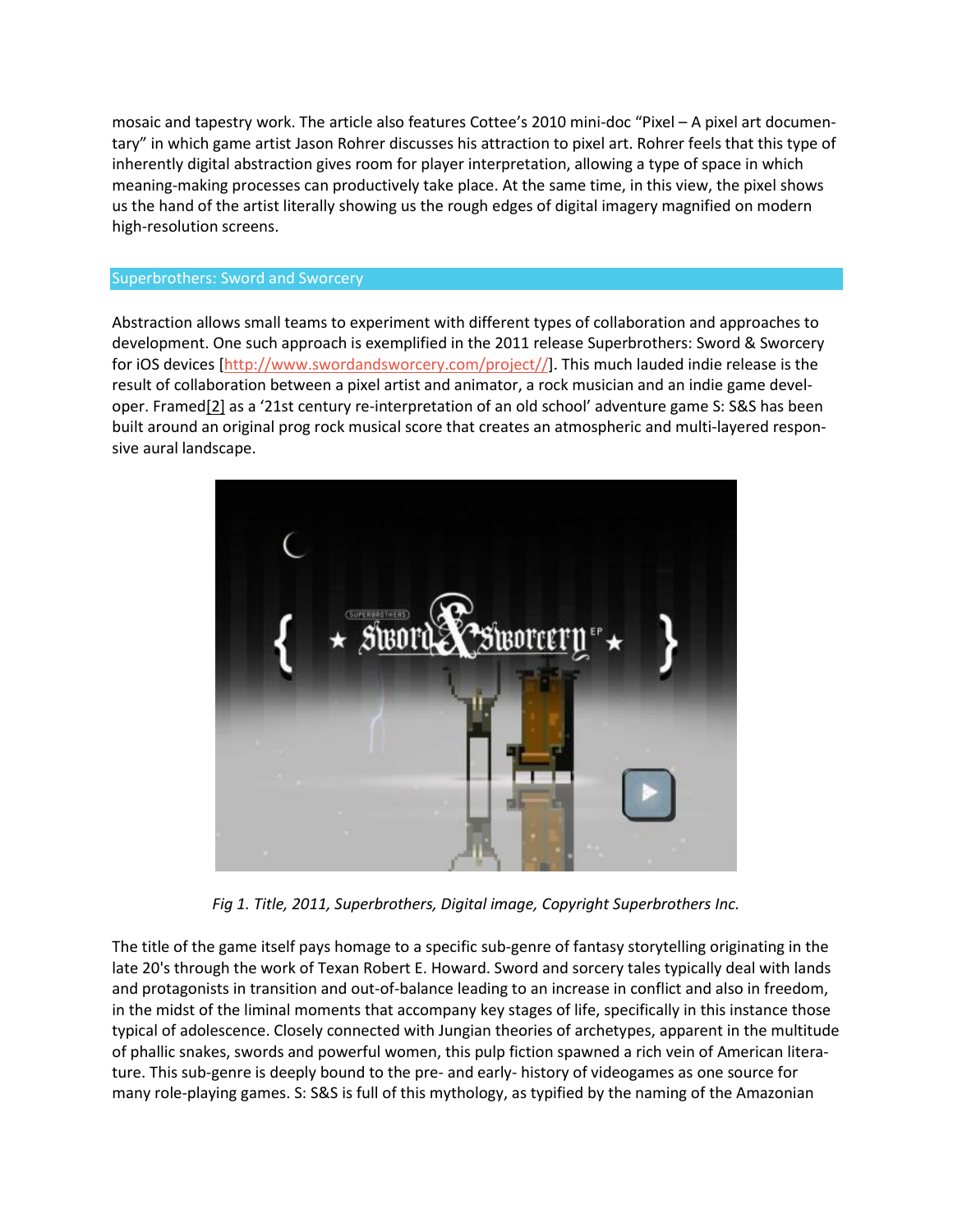mosaic and tapestry work. The article also features Cottee's 2010 mini-doc "Pixel – A pixel art documentary" in which game artist Jason Rohrer discusses his attraction to pixel art. Rohrer feels that this type of inherently digital abstraction gives room for player interpretation, allowing a type of space in which meaning-making processes can productively take place. At the same time, in this view, the pixel shows us the hand of the artist literally showing us the rough edges of digital imagery magnified on modern high-resolution screens.

## Superbrothers: Sword and Sworcery

Abstraction allows small teams to experiment with different types of collaboration and approaches to development. One such approach is exemplified in the 2011 release Superbrothers: Sword & Sworcery for iOS devices [\[http://www.swordandsworcery.com/project//\]](http://www.swordandsworcery.com/project/). This much lauded indie release is the result of collaboration between a pixel artist and animator, a rock musician and an indie game developer. Framed $[2]$  as a '21st century re-interpretation of an old school' adventure game S: S&S has been built around an original prog rock musical score that creates an atmospheric and multi-layered responsive aural landscape.



*Fig 1. Title, 2011, Superbrothers, Digital image, Copyright Superbrothers Inc.* 

The title of the game itself pays homage to a specific sub-genre of fantasy storytelling originating in the late 20's through the work of Texan Robert E. Howard. Sword and sorcery tales typically deal with lands and protagonists in transition and out-of-balance leading to an increase in conflict and also in freedom, in the midst of the liminal moments that accompany key stages of life, specifically in this instance those typical of adolescence. Closely connected with Jungian theories of archetypes, apparent in the multitude of phallic snakes, swords and powerful women, this pulp fiction spawned a rich vein of American literature. This sub-genre is deeply bound to the pre- and early- history of videogames as one source for many role-playing games. S: S&S is full of this mythology, as typified by the naming of the Amazonian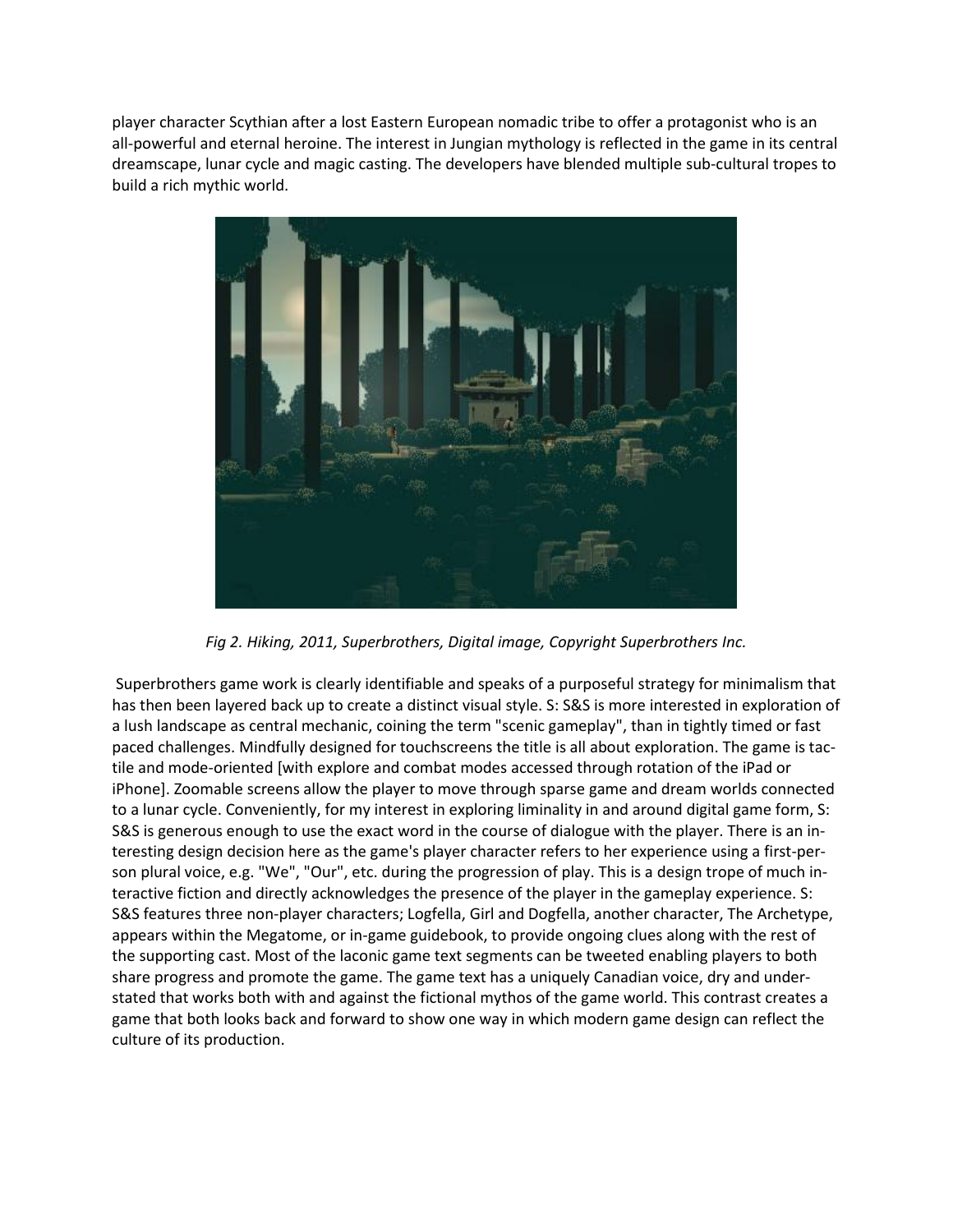player character Scythian after a lost Eastern European nomadic tribe to offer a protagonist who is an all-powerful and eternal heroine. The interest in Jungian mythology is reflected in the game in its central dreamscape, lunar cycle and magic casting. The developers have blended multiple sub-cultural tropes to build a rich mythic world.



*Fig 2. Hiking, 2011, Superbrothers, Digital image, Copyright Superbrothers Inc.* 

Superbrothers game work is clearly identifiable and speaks of a purposeful strategy for minimalism that has then been layered back up to create a distinct visual style. S: S&S is more interested in exploration of a lush landscape as central mechanic, coining the term "scenic gameplay", than in tightly timed or fast paced challenges. Mindfully designed for touchscreens the title is all about exploration. The game is tactile and mode-oriented [with explore and combat modes accessed through rotation of the iPad or iPhone]. Zoomable screens allow the player to move through sparse game and dream worlds connected to a lunar cycle. Conveniently, for my interest in exploring liminality in and around digital game form, S: S&S is generous enough to use the exact word in the course of dialogue with the player. There is an interesting design decision here as the game's player character refers to her experience using a first-person plural voice, e.g. "We", "Our", etc. during the progression of play. This is a design trope of much interactive fiction and directly acknowledges the presence of the player in the gameplay experience. S: S&S features three non-player characters; Logfella, Girl and Dogfella, another character, The Archetype, appears within the Megatome, or in-game guidebook, to provide ongoing clues along with the rest of the supporting cast. Most of the laconic game text segments can be tweeted enabling players to both share progress and promote the game. The game text has a uniquely Canadian voice, dry and understated that works both with and against the fictional mythos of the game world. This contrast creates a game that both looks back and forward to show one way in which modern game design can reflect the culture of its production.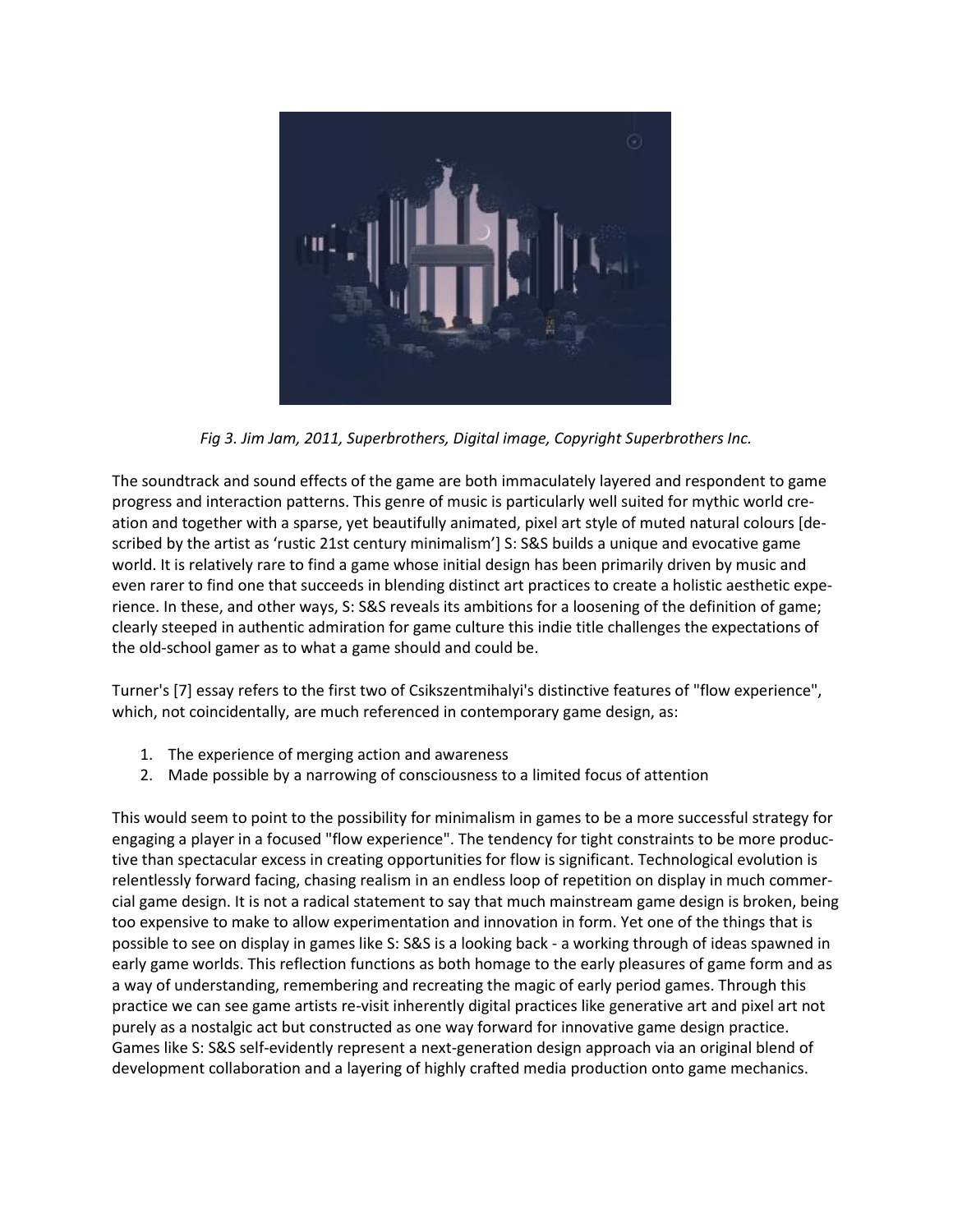

*Fig 3. Jim Jam, 2011, Superbrothers, Digital image, Copyright Superbrothers Inc.*

The soundtrack and sound effects of the game are both immaculately layered and respondent to game progress and interaction patterns. This genre of music is particularly well suited for mythic world creation and together with a sparse, yet beautifully animated, pixel art style of muted natural colours [described by the artist as 'rustic 21st century minimalism'] S: S&S builds a unique and evocative game world. It is relatively rare to find a game whose initial design has been primarily driven by music and even rarer to find one that succeeds in blending distinct art practices to create a holistic aesthetic experience. In these, and other ways, S: S&S reveals its ambitions for a loosening of the definition of game; clearly steeped in authentic admiration for game culture this indie title challenges the expectations of the old-school gamer as to what a game should and could be.

Turner's [7] essay refers to the first two of Csikszentmihalyi's distinctive features of "flow experience", which, not coincidentally, are much referenced in contemporary game design, as:

- 1. The experience of merging action and awareness
- 2. Made possible by a narrowing of consciousness to a limited focus of attention

This would seem to point to the possibility for minimalism in games to be a more successful strategy for engaging a player in a focused "flow experience". The tendency for tight constraints to be more productive than spectacular excess in creating opportunities for flow is significant. Technological evolution is relentlessly forward facing, chasing realism in an endless loop of repetition on display in much commercial game design. It is not a radical statement to say that much mainstream game design is broken, being too expensive to make to allow experimentation and innovation in form. Yet one of the things that is possible to see on display in games like S: S&S is a looking back - a working through of ideas spawned in early game worlds. This reflection functions as both homage to the early pleasures of game form and as a way of understanding, remembering and recreating the magic of early period games. Through this practice we can see game artists re-visit inherently digital practices like generative art and pixel art not purely as a nostalgic act but constructed as one way forward for innovative game design practice. Games like S: S&S self-evidently represent a next-generation design approach via an original blend of development collaboration and a layering of highly crafted media production onto game mechanics.